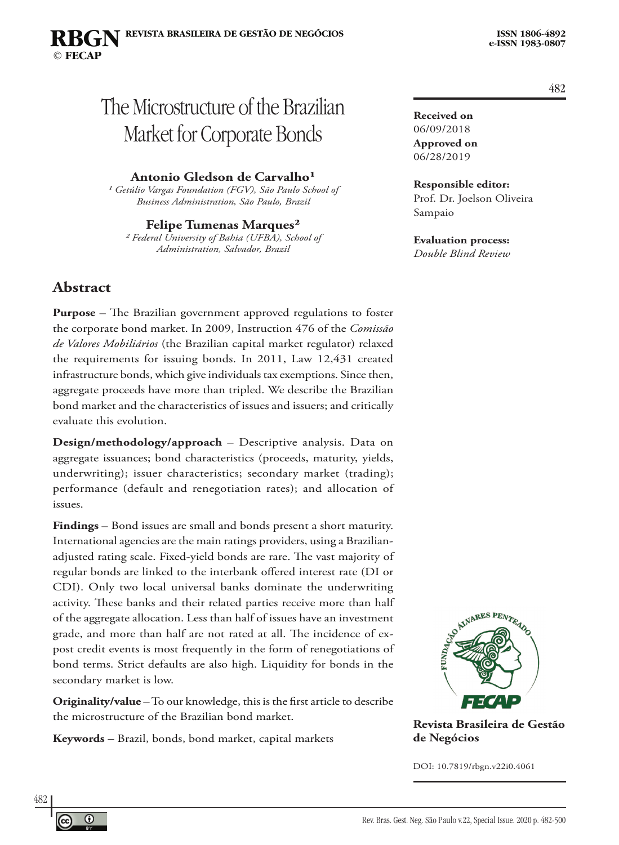**Received on** 06/09/2018 **Approved on** 06/28/2019

Sampaio

**Responsible editor:**  Prof. Dr. Joelson Oliveira

**Evaluation process:**  *Double Blind Review*

# The Microstructure of the Brazilian Market for Corporate Bonds

#### **Antonio Gledson de Carvalho**<sup>1</sup>

<sup>1</sup> Getúlio Vargas Foundation (FGV), São Paulo School of *Business Administration, São Paulo, Brazil*

**Felipe Tumenas Marques²** *² Federal University of Bahia (UFBA), School of Administration, Salvador, Brazil*

### **Abstract**

**Purpose** – The Brazilian government approved regulations to foster the corporate bond market. In 2009, Instruction 476 of the *Comissão de Valores Mobiliários* (the Brazilian capital market regulator) relaxed the requirements for issuing bonds. In 2011, Law 12,431 created infrastructure bonds, which give individuals tax exemptions. Since then, aggregate proceeds have more than tripled. We describe the Brazilian bond market and the characteristics of issues and issuers; and critically evaluate this evolution.

**Design/methodology/approach** – Descriptive analysis. Data on aggregate issuances; bond characteristics (proceeds, maturity, yields, underwriting); issuer characteristics; secondary market (trading); performance (default and renegotiation rates); and allocation of issues.

**Findings** – Bond issues are small and bonds present a short maturity. International agencies are the main ratings providers, using a Brazilianadjusted rating scale. Fixed-yield bonds are rare. The vast majority of regular bonds are linked to the interbank offered interest rate (DI or CDI). Only two local universal banks dominate the underwriting activity. These banks and their related parties receive more than half of the aggregate allocation. Less than half of issues have an investment grade, and more than half are not rated at all. The incidence of expost credit events is most frequently in the form of renegotiations of bond terms. Strict defaults are also high. Liquidity for bonds in the secondary market is low.

**Originality/value** – To our knowledge, this is the first article to describe the microstructure of the Brazilian bond market.

**Keywords –** Brazil, bonds, bond market, capital markets



**Revista Brasileira de Gestão de Negócios**

DOI: 10.7819/rbgn.v22i0.4061

482



 $^\circledR$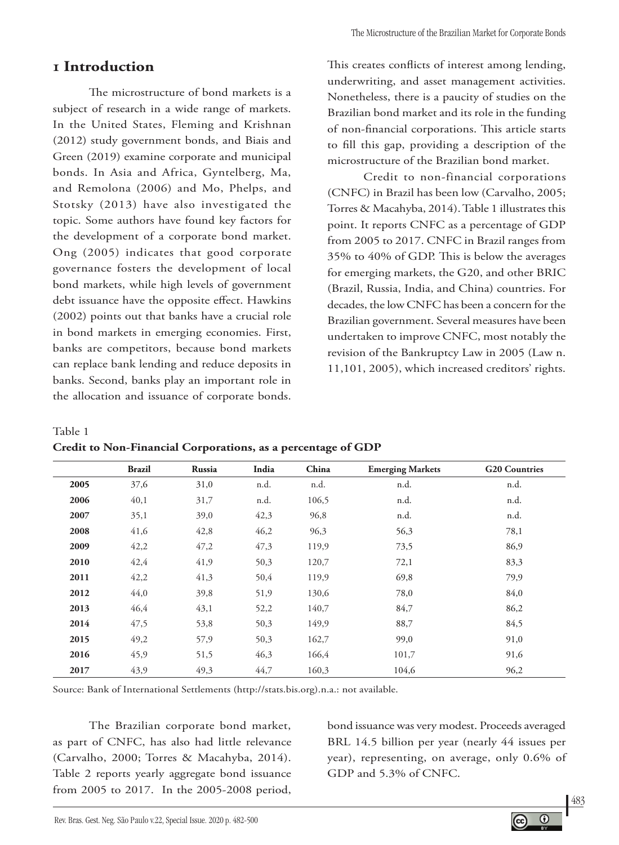# **1 Introduction**

The microstructure of bond markets is a subject of research in a wide range of markets. In the United States, Fleming and Krishnan (2012) study government bonds, and Biais and Green (2019) examine corporate and municipal bonds. In Asia and Africa, Gyntelberg, Ma, and Remolona (2006) and Mo, Phelps, and Stotsky (2013) have also investigated the topic. Some authors have found key factors for the development of a corporate bond market. Ong (2005) indicates that good corporate governance fosters the development of local bond markets, while high levels of government debt issuance have the opposite effect. Hawkins (2002) points out that banks have a crucial role in bond markets in emerging economies. First, banks are competitors, because bond markets can replace bank lending and reduce deposits in banks. Second, banks play an important role in the allocation and issuance of corporate bonds.

This creates conflicts of interest among lending, underwriting, and asset management activities. Nonetheless, there is a paucity of studies on the Brazilian bond market and its role in the funding of non-financial corporations. This article starts to fill this gap, providing a description of the microstructure of the Brazilian bond market.

Credit to non-financial corporations (CNFC) in Brazil has been low (Carvalho, 2005; Torres & Macahyba, 2014). Table 1 illustrates this point. It reports CNFC as a percentage of GDP from 2005 to 2017. CNFC in Brazil ranges from 35% to 40% of GDP. This is below the averages for emerging markets, the G20, and other BRIC (Brazil, Russia, India, and China) countries. For decades, the low CNFC has been a concern for the Brazilian government. Several measures have been undertaken to improve CNFC, most notably the revision of the Bankruptcy Law in 2005 (Law n. 11,101, 2005), which increased creditors' rights.

Table 1

| Credit to Non-Financial Corporations, as a percentage of GDP |  |  |
|--------------------------------------------------------------|--|--|
|--------------------------------------------------------------|--|--|

|      | <b>Brazil</b> | Russia | India | China | <b>Emerging Markets</b> | <b>G20 Countries</b> |
|------|---------------|--------|-------|-------|-------------------------|----------------------|
| 2005 | 37,6          | 31,0   | n.d.  | n.d.  | n.d.                    | n.d.                 |
| 2006 | 40,1          | 31,7   | n.d.  | 106,5 | n.d.                    | n.d.                 |
| 2007 | 35,1          | 39,0   | 42,3  | 96,8  | n.d.                    | n.d.                 |
| 2008 | 41,6          | 42,8   | 46,2  | 96,3  | 56,3                    | 78,1                 |
| 2009 | 42,2          | 47,2   | 47,3  | 119,9 | 73,5                    | 86,9                 |
| 2010 | 42,4          | 41,9   | 50,3  | 120,7 | 72,1                    | 83,3                 |
| 2011 | 42,2          | 41,3   | 50,4  | 119,9 | 69,8                    | 79,9                 |
| 2012 | 44,0          | 39,8   | 51,9  | 130,6 | 78,0                    | 84,0                 |
| 2013 | 46,4          | 43,1   | 52,2  | 140,7 | 84,7                    | 86,2                 |
| 2014 | 47,5          | 53,8   | 50,3  | 149,9 | 88,7                    | 84,5                 |
| 2015 | 49,2          | 57,9   | 50,3  | 162,7 | 99,0                    | 91,0                 |
| 2016 | 45,9          | 51,5   | 46,3  | 166,4 | 101,7                   | 91,6                 |
| 2017 | 43,9          | 49,3   | 44,7  | 160,3 | 104,6                   | 96,2                 |

Source: Bank of International Settlements (http://stats.bis.org).n.a.: not available.

The Brazilian corporate bond market, as part of CNFC, has also had little relevance (Carvalho, 2000; Torres & Macahyba, 2014). Table 2 reports yearly aggregate bond issuance from 2005 to 2017. In the 2005-2008 period,

bond issuance was very modest. Proceeds averaged BRL 14.5 billion per year (nearly 44 issues per year), representing, on average, only 0.6% of GDP and 5.3% of CNFC.

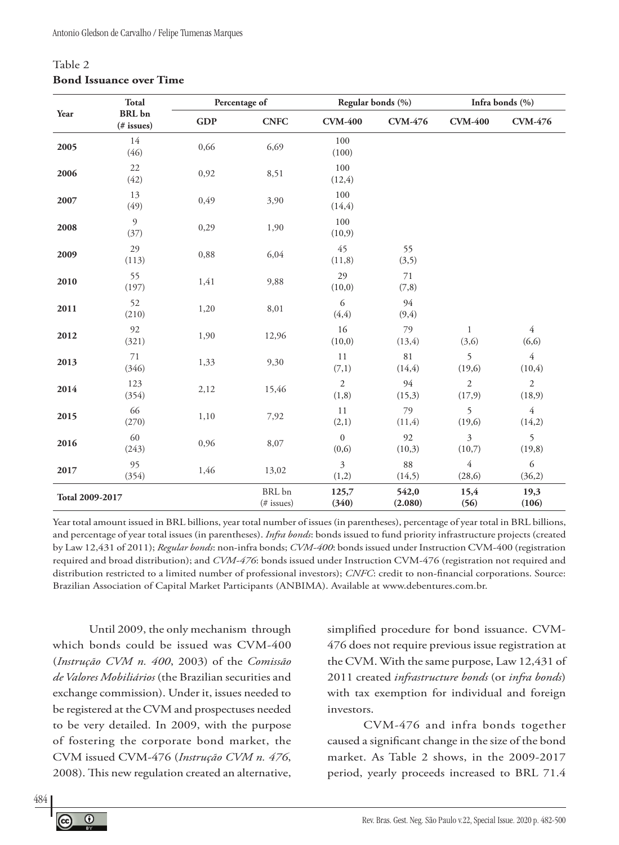### Table 2 **Bond Issuance over Time**

|                 | <b>Total</b>                |            | Percentage of        | Regular bonds (%)                |                  |                           | Infra bonds (%)           |
|-----------------|-----------------------------|------------|----------------------|----------------------------------|------------------|---------------------------|---------------------------|
| Year            | <b>BRL</b> bn<br>(# issues) | <b>GDP</b> | <b>CNFC</b>          | <b>CVM-400</b>                   | <b>CVM-476</b>   | <b>CVM-400</b>            | <b>CVM-476</b>            |
| 2005            | 14<br>(46)                  | 0,66       | 6,69                 | 100<br>(100)                     |                  |                           |                           |
| 2006            | 22<br>(42)                  | 0,92       | 8,51                 | 100<br>(12, 4)                   |                  |                           |                           |
| 2007            | 13<br>(49)                  | 0,49       | 3,90                 | 100<br>(14, 4)                   |                  |                           |                           |
| 2008            | 9<br>(37)                   | 0,29       | 1,90                 | 100<br>(10, 9)                   |                  |                           |                           |
| 2009            | 29<br>(113)                 | 0,88       | 6,04                 | 45<br>(11,8)                     | 55<br>(3,5)      |                           |                           |
| 2010            | 55<br>(197)                 | 1,41       | 9,88                 | 29<br>(10,0)                     | 71<br>(7,8)      |                           |                           |
| 2011            | 52<br>(210)                 | 1,20       | 8,01                 | 6<br>(4, 4)                      | 94<br>(9, 4)     |                           |                           |
| 2012            | 92<br>(321)                 | 1,90       | 12,96                | 16<br>(10, 0)                    | 79<br>(13, 4)    | $\mathbf{1}$<br>(3,6)     | $\overline{4}$<br>(6, 6)  |
| 2013            | 71<br>(346)                 | 1,33       | 9,30                 | 11<br>(7,1)                      | 81<br>(14, 4)    | 5<br>(19,6)               | $\overline{4}$<br>(10, 4) |
| 2014            | 123<br>(354)                | 2,12       | 15,46                | $\overline{2}$<br>(1, 8)         | 94<br>(15,3)     | $\overline{2}$<br>(17, 9) | $\overline{2}$<br>(18,9)  |
| 2015            | 66<br>(270)                 | 1,10       | 7,92                 | 11<br>(2,1)                      | 79<br>(11,4)     | 5<br>(19,6)               | $\overline{4}$<br>(14,2)  |
| 2016            | 60<br>(243)                 | 0,96       | 8,07                 | $\boldsymbol{0}$<br>(0, 6)       | 92<br>(10,3)     | 3<br>(10,7)               | 5<br>(19, 8)              |
| 2017            | 95<br>(354)                 | 1,46       | 13,02                | $\overline{\mathbf{3}}$<br>(1,2) | 88<br>(14,5)     | $\overline{4}$<br>(28, 6) | 6<br>(36,2)               |
| Total 2009-2017 |                             |            | BRL bn<br>(# issues) | 125,7<br>(340)                   | 542,0<br>(2.080) | 15,4<br>(56)              | 19,3<br>(106)             |

Year total amount issued in BRL billions, year total number of issues (in parentheses), percentage of year total in BRL billions, and percentage of year total issues (in parentheses). *Infra bonds*: bonds issued to fund priority infrastructure projects (created by Law 12,431 of 2011); *Regular bonds*: non-infra bonds; *CVM-400*: bonds issued under Instruction CVM-400 (registration required and broad distribution); and *CVM-476*: bonds issued under Instruction CVM-476 (registration not required and distribution restricted to a limited number of professional investors); *CNFC*: credit to non-financial corporations. Source: Brazilian Association of Capital Market Participants (ANBIMA). Available at www.debentures.com.br.

Until 2009, the only mechanism through which bonds could be issued was CVM-400 (*Instrução CVM n. 400*, 2003) of the *Comissão de Valores Mobiliários* (the Brazilian securities and exchange commission). Under it, issues needed to be registered at the CVM and prospectuses needed to be very detailed. In 2009, with the purpose of fostering the corporate bond market, the CVM issued CVM-476 (*Instrução CVM n. 476*, 2008). This new regulation created an alternative,

simplified procedure for bond issuance. CVM-476 does not require previous issue registration at the CVM. With the same purpose, Law 12,431 of 2011 created *infrastructure bonds* (or *infra bonds*) with tax exemption for individual and foreign investors.

CVM-476 and infra bonds together caused a significant change in the size of the bond market. As Table 2 shows, in the 2009-2017 period, yearly proceeds increased to BRL 71.4

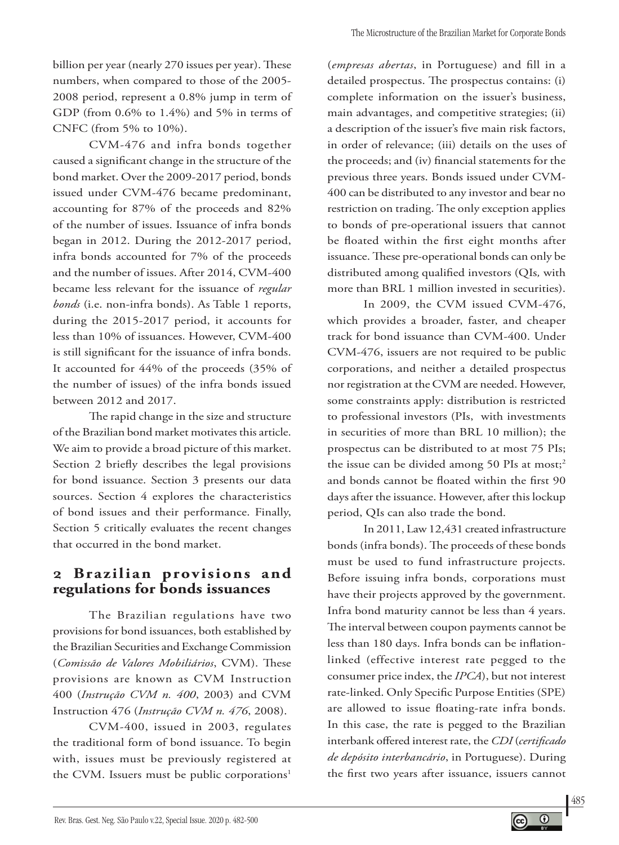billion per year (nearly 270 issues per year). These numbers, when compared to those of the 2005- 2008 period, represent a 0.8% jump in term of GDP (from 0.6% to 1.4%) and 5% in terms of CNFC (from 5% to 10%).

CVM-476 and infra bonds together caused a significant change in the structure of the bond market. Over the 2009-2017 period, bonds issued under CVM-476 became predominant, accounting for 87% of the proceeds and 82% of the number of issues. Issuance of infra bonds began in 2012. During the 2012-2017 period, infra bonds accounted for 7% of the proceeds and the number of issues. After 2014, CVM-400 became less relevant for the issuance of *regular bonds* (i.e. non-infra bonds). As Table 1 reports, during the 2015-2017 period, it accounts for less than 10% of issuances. However, CVM-400 is still significant for the issuance of infra bonds. It accounted for 44% of the proceeds (35% of the number of issues) of the infra bonds issued between 2012 and 2017.

The rapid change in the size and structure of the Brazilian bond market motivates this article. We aim to provide a broad picture of this market. Section 2 briefly describes the legal provisions for bond issuance. Section 3 presents our data sources. Section 4 explores the characteristics of bond issues and their performance. Finally, Section 5 critically evaluates the recent changes that occurred in the bond market.

### **2 Brazilian provisions and regulations for bonds issuances**

The Brazilian regulations have two provisions for bond issuances, both established by the Brazilian Securities and Exchange Commission (*Comissão de Valores Mobiliários*, CVM). These provisions are known as CVM Instruction 400 (*Instrução CVM n. 400*, 2003) and CVM Instruction 476 (*Instrução CVM n. 476*, 2008).

CVM-400, issued in 2003, regulates the traditional form of bond issuance. To begin with, issues must be previously registered at the CVM. Issuers must be public corporations<sup>1</sup>

(*empresas abertas*, in Portuguese) and fill in a detailed prospectus. The prospectus contains: (i) complete information on the issuer's business, main advantages, and competitive strategies; (ii) a description of the issuer's five main risk factors, in order of relevance; (iii) details on the uses of the proceeds; and (iv) financial statements for the previous three years. Bonds issued under CVM-400 can be distributed to any investor and bear no restriction on trading. The only exception applies to bonds of pre-operational issuers that cannot be floated within the first eight months after issuance. These pre-operational bonds can only be distributed among qualified investors (QIs*,* with more than BRL 1 million invested in securities).

In 2009, the CVM issued CVM-476, which provides a broader, faster, and cheaper track for bond issuance than CVM-400. Under CVM-476, issuers are not required to be public corporations, and neither a detailed prospectus nor registration at the CVM are needed. However, some constraints apply: distribution is restricted to professional investors (PIs, with investments in securities of more than BRL 10 million); the prospectus can be distributed to at most 75 PIs; the issue can be divided among 50 PIs at most;<sup>2</sup> and bonds cannot be floated within the first 90 days after the issuance. However, after this lockup period, QIs can also trade the bond.

In 2011, Law 12,431 created infrastructure bonds (infra bonds). The proceeds of these bonds must be used to fund infrastructure projects. Before issuing infra bonds, corporations must have their projects approved by the government. Infra bond maturity cannot be less than 4 years. The interval between coupon payments cannot be less than 180 days. Infra bonds can be inflationlinked (effective interest rate pegged to the consumer price index, the *IPCA*), but not interest rate-linked. Only Specific Purpose Entities (SPE) are allowed to issue floating-rate infra bonds. In this case, the rate is pegged to the Brazilian interbank offered interest rate, the *CDI* (*certificado de depósito interbancário*, in Portuguese). During the first two years after issuance, issuers cannot

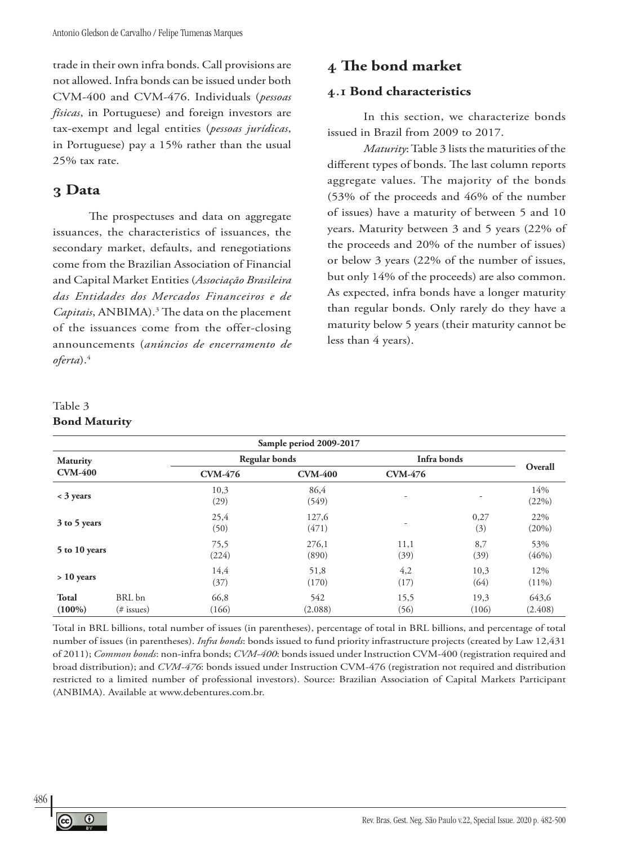trade in their own infra bonds. Call provisions are not allowed. Infra bonds can be issued under both CVM-400 and CVM-476. Individuals (*pessoas físicas*, in Portuguese) and foreign investors are tax-exempt and legal entities (*pessoas jurídicas*, in Portuguese) pay a 15% rather than the usual 25% tax rate.

### **3 Data**

The prospectuses and data on aggregate issuances, the characteristics of issuances, the secondary market, defaults, and renegotiations come from the Brazilian Association of Financial and Capital Market Entities (*Associação Brasileira das Entidades dos Mercados Financeiros e de Capitais*, ANBIMA).3 The data on the placement of the issuances come from the offer-closing announcements (*anúncios de encerramento de oferta*).4

### **4 The bond market**

#### **4.1 Bond characteristics**

In this section, we characterize bonds issued in Brazil from 2009 to 2017.

*Maturity*: Table 3 lists the maturities of the different types of bonds. The last column reports aggregate values. The majority of the bonds (53% of the proceeds and 46% of the number of issues) have a maturity of between 5 and 10 years. Maturity between 3 and 5 years (22% of the proceeds and 20% of the number of issues) or below 3 years (22% of the number of issues, but only 14% of the proceeds) are also common. As expected, infra bonds have a longer maturity than regular bonds. Only rarely do they have a maturity below 5 years (their maturity cannot be less than 4 years).

| Table 3 |                      |
|---------|----------------------|
|         | <b>Bond Maturity</b> |

|                           |                         |                | Sample period 2009-2017 |                |               |                  |
|---------------------------|-------------------------|----------------|-------------------------|----------------|---------------|------------------|
| <b>Maturity</b>           |                         |                | <b>Regular bonds</b>    | Infra bonds    |               |                  |
| <b>CVM-400</b>            |                         | <b>CVM-476</b> | <b>CVM-400</b>          | <b>CVM-476</b> |               | Overall          |
| $\lt$ 3 years             |                         | 10,3<br>(29)   | 86,4<br>(549)           | ۰              | ۰             | 14%<br>(22%)     |
| 3 to 5 years              |                         | 25,4<br>(50)   | 127,6<br>(471)          | ۰              | 0,27<br>(3)   | 22%<br>(20%)     |
| 5 to 10 years             |                         | 75,5<br>(224)  | 276,1<br>(890)          | 11,1<br>(39)   | 8,7<br>(39)   | 53%<br>(46%)     |
| $> 10$ years              |                         | 14,4<br>(37)   | 51,8<br>(170)           | 4,2<br>(17)    | 10,3<br>(64)  | 12%<br>$(11\%)$  |
| <b>Total</b><br>$(100\%)$ | BRL bn<br>$(\#$ issues) | 66,8<br>(166)  | 542<br>(2.088)          | 15,5<br>(56)   | 19,3<br>(106) | 643,6<br>(2.408) |

Total in BRL billions, total number of issues (in parentheses), percentage of total in BRL billions, and percentage of total number of issues (in parentheses). *Infra bonds*: bonds issued to fund priority infrastructure projects (created by Law 12,431 of 2011); *Common bonds*: non-infra bonds; *CVM-400*: bonds issued under Instruction CVM-400 (registration required and broad distribution); and *CVM-476*: bonds issued under Instruction CVM-476 (registration not required and distribution restricted to a limited number of professional investors). Source: Brazilian Association of Capital Markets Participant (ANBIMA). Available at www.debentures.com.br.

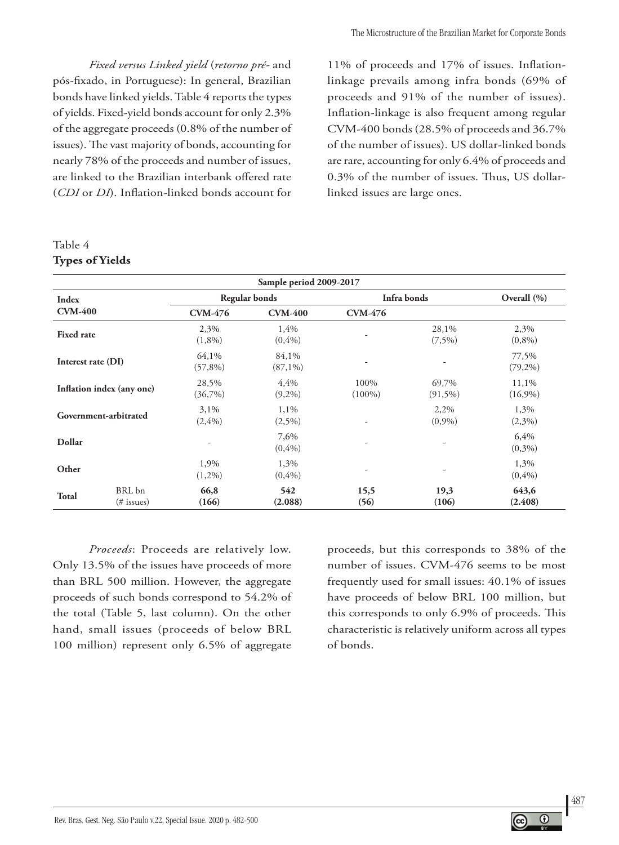*Fixed versus Linked yield* (*retorno pré-* and pós-fixado, in Portuguese): In general, Brazilian bonds have linked yields. Table 4 reports the types of yields. Fixed-yield bonds account for only 2.3% of the aggregate proceeds (0.8% of the number of issues). The vast majority of bonds, accounting for nearly 78% of the proceeds and number of issues, are linked to the Brazilian interbank offered rate (*CDI* or *DI*). Inflation-linked bonds account for

### Table 4 **Types of Yields**

11% of proceeds and 17% of issues. Inflationlinkage prevails among infra bonds (69% of proceeds and 91% of the number of issues). Inflation-linkage is also frequent among regular CVM-400 bonds (28.5% of proceeds and 36.7% of the number of issues). US dollar-linked bonds are rare, accounting for only 6.4% of proceeds and 0.3% of the number of issues. Thus, US dollarlinked issues are large ones.

| Sample period 2009-2017   |                         |                     |                      |                   |                     |                     |  |  |
|---------------------------|-------------------------|---------------------|----------------------|-------------------|---------------------|---------------------|--|--|
| Index                     |                         |                     | <b>Regular bonds</b> | Infra bonds       |                     | Overall $(\% )$     |  |  |
| <b>CVM-400</b>            |                         | <b>CVM-476</b>      | <b>CVM-400</b>       | <b>CVM-476</b>    |                     |                     |  |  |
| <b>Fixed rate</b>         |                         | 2,3%<br>$(1,8\%)$   | 1,4%<br>$(0, 4\%)$   |                   | 28,1%<br>$(7,5\%)$  | 2,3%<br>$(0,8\%)$   |  |  |
| Interest rate (DI)        |                         | 64,1%<br>$(57,8\%)$ | 84,1%<br>$(87,1\%)$  | ۰                 |                     | 77,5%<br>$(79,2\%)$ |  |  |
| Inflation index (any one) |                         | 28,5%<br>(36,7%)    | 4,4%<br>$(9,2\%)$    | 100%<br>$(100\%)$ | 69,7%<br>$(91,5\%)$ | 11,1%<br>$(16,9\%)$ |  |  |
| Government-arbitrated     |                         | 3,1%<br>(2,4%)      | 1,1%<br>$(2,5\%)$    | ۰                 | 2,2%<br>(0,9%)      | 1,3%<br>(2,3%)      |  |  |
| Dollar                    |                         |                     | 7,6%<br>(0,4%)       | ۰                 |                     | 6,4%<br>(0,3%)      |  |  |
| Other                     |                         | 1,9%<br>$(1,2\%)$   | 1,3%<br>$(0, 4\%)$   | ۰                 |                     | 1,3%<br>$(0, 4\%)$  |  |  |
| <b>Total</b>              | BRL bn<br>$(\#$ issues) | 66,8<br>(166)       | 542<br>(2.088)       | 15,5<br>(56)      | 19,3<br>(106)       | 643,6<br>(2.408)    |  |  |

*Proceeds*: Proceeds are relatively low. Only 13.5% of the issues have proceeds of more than BRL 500 million. However, the aggregate proceeds of such bonds correspond to 54.2% of the total (Table 5, last column). On the other hand, small issues (proceeds of below BRL 100 million) represent only 6.5% of aggregate

proceeds, but this corresponds to 38% of the number of issues. CVM-476 seems to be most frequently used for small issues: 40.1% of issues have proceeds of below BRL 100 million, but this corresponds to only 6.9% of proceeds. This characteristic is relatively uniform across all types of bonds.

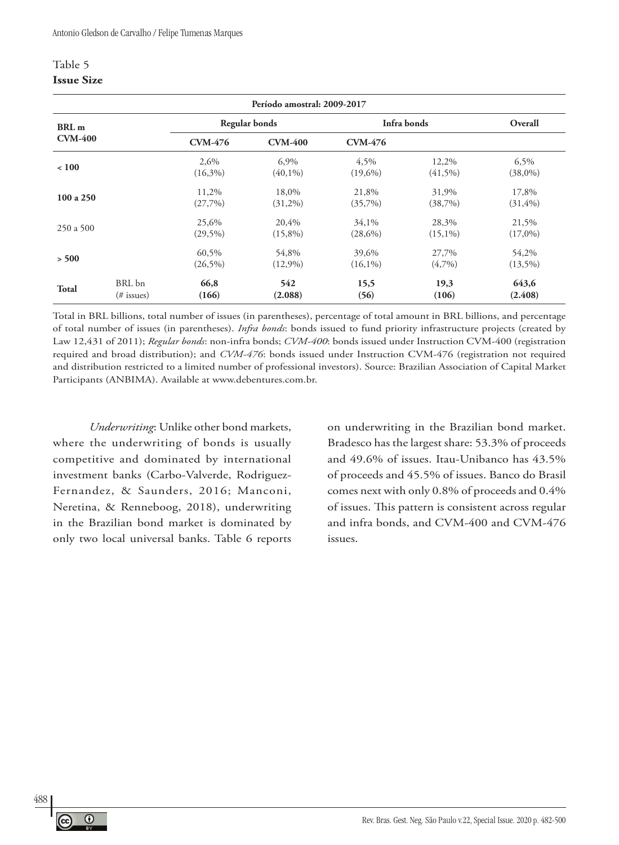#### Table 5 **Issue Size**

|                         | Período amostral: 2009-2017 |                     |                     |                     |                     |                      |  |  |  |  |
|-------------------------|-----------------------------|---------------------|---------------------|---------------------|---------------------|----------------------|--|--|--|--|
| <b>BRL</b> <sub>m</sub> |                             |                     | Regular bonds       | Infra bonds         |                     | Overall              |  |  |  |  |
| <b>CVM-400</b>          |                             | <b>CVM-476</b>      | <b>CVM-400</b>      | <b>CVM-476</b>      |                     |                      |  |  |  |  |
| ~100                    |                             | 2.6%<br>$(16,3\%)$  | 6,9%<br>$(40,1\%)$  | 4,5%<br>$(19,6\%)$  | 12,2%<br>$(41,5\%)$ | 6,5%<br>$(38,0\%)$   |  |  |  |  |
| 100 a 250               |                             | 11,2%<br>(27,7%)    | 18,0%<br>$(31,2\%)$ | 21,8%<br>(35,7%)    | 31,9%<br>(38,7%)    | 17,8%<br>$(31, 4\%)$ |  |  |  |  |
| 250a500                 |                             | 25,6%<br>$(29,5\%)$ | 20,4%<br>$(15,8\%)$ | 34,1%<br>$(28,6\%)$ | 28,3%<br>$(15,1\%)$ | 21,5%<br>$(17,0\%)$  |  |  |  |  |
| > 500                   |                             | 60,5%<br>$(26,5\%)$ | 54.8%<br>$(12,9\%)$ | 39,6%<br>$(16,1\%)$ | 27,7%<br>$(4,7\%)$  | 54,2%<br>$(13,5\%)$  |  |  |  |  |
| <b>Total</b>            | BRL bn<br>(# issues)        | 66,8<br>(166)       | 542<br>(2.088)      | 15,5<br>(56)        | 19,3<br>(106)       | 643,6<br>(2.408)     |  |  |  |  |

Total in BRL billions, total number of issues (in parentheses), percentage of total amount in BRL billions, and percentage of total number of issues (in parentheses). *Infra bonds*: bonds issued to fund priority infrastructure projects (created by Law 12,431 of 2011); *Regular bonds*: non-infra bonds; *CVM-400*: bonds issued under Instruction CVM-400 (registration required and broad distribution); and *CVM-476*: bonds issued under Instruction CVM-476 (registration not required and distribution restricted to a limited number of professional investors). Source: Brazilian Association of Capital Market Participants (ANBIMA). Available at www.debentures.com.br.

*Underwriting*: Unlike other bond markets, where the underwriting of bonds is usually competitive and dominated by international investment banks (Carbo-Valverde, Rodriguez-Fernandez, & Saunders, 2016; Manconi, Neretina, & Renneboog, 2018), underwriting in the Brazilian bond market is dominated by only two local universal banks. Table 6 reports

on underwriting in the Brazilian bond market. Bradesco has the largest share: 53.3% of proceeds and 49.6% of issues. Itau-Unibanco has 43.5% of proceeds and 45.5% of issues. Banco do Brasil comes next with only 0.8% of proceeds and 0.4% of issues. This pattern is consistent across regular and infra bonds, and CVM-400 and CVM-476 issues.

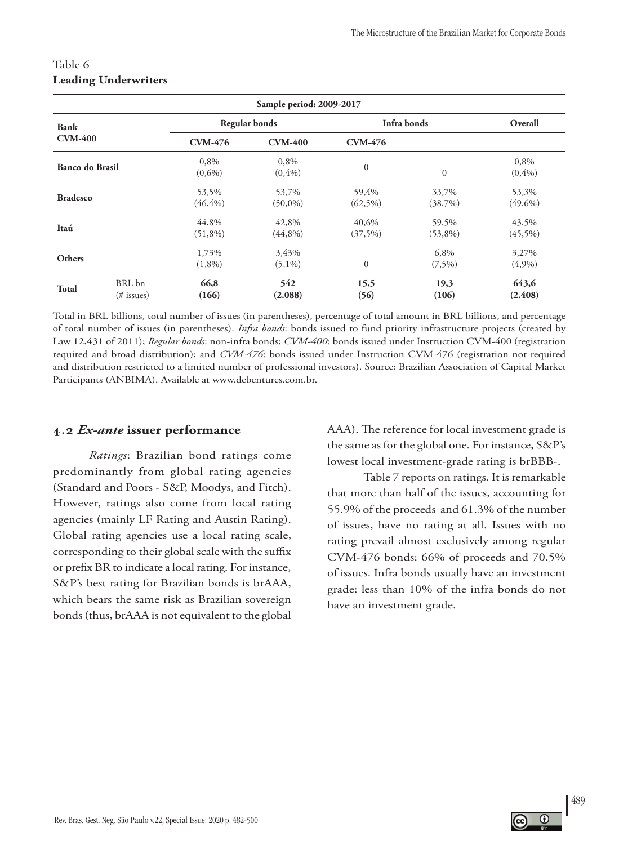|                 | Sample period: 2009-2017 |                      |                      |                     |                     |                     |  |  |  |  |
|-----------------|--------------------------|----------------------|----------------------|---------------------|---------------------|---------------------|--|--|--|--|
| <b>Bank</b>     |                          |                      | <b>Regular bonds</b> | Infra bonds         |                     | Overall             |  |  |  |  |
| <b>CVM-400</b>  |                          | <b>CVM-476</b>       | <b>CVM-400</b>       | <b>CVM-476</b>      |                     |                     |  |  |  |  |
| Banco do Brasil |                          | 0,8%<br>$(0,6\%)$    | 0,8%<br>(0,4%)       | $\mathbf{0}$        | $\overline{0}$      | 0,8%<br>$(0, 4\%)$  |  |  |  |  |
| <b>Bradesco</b> |                          | 53,5%<br>$(46, 4\%)$ | 53,7%<br>$(50,0\%)$  | 59,4%<br>$(62,5\%)$ | 33,7%<br>(38,7%)    | 53,3%<br>$(49,6\%)$ |  |  |  |  |
| Itaú            |                          | 44,8%<br>$(51,8\%)$  | 42,8%<br>$(44,8\%)$  | 40,6%<br>(37,5%)    | 59,5%<br>$(53,8\%)$ | 43,5%<br>$(45,5\%)$ |  |  |  |  |
| Others          |                          | 1,73%<br>$(1,8\%)$   | 3,43%<br>$(5,1\%)$   | $\overline{0}$      | 6,8%<br>$(7,5\%)$   | 3,27%<br>(4,9%)     |  |  |  |  |
| Total           | BRL bn<br>(# issues)     | 66,8<br>(166)        | 542<br>(2.088)       | 15,5<br>(56)        | 19,3<br>(106)       | 643,6<br>(2.408)    |  |  |  |  |

### Table 6 **Leading Underwriters**

Total in BRL billions, total number of issues (in parentheses), percentage of total amount in BRL billions, and percentage of total number of issues (in parentheses). *Infra bonds*: bonds issued to fund priority infrastructure projects (created by Law 12,431 of 2011); *Regular bonds*: non-infra bonds; *CVM-400*: bonds issued under Instruction CVM-400 (registration required and broad distribution); and *CVM-476*: bonds issued under Instruction CVM-476 (registration not required and distribution restricted to a limited number of professional investors). Source: Brazilian Association of Capital Market Participants (ANBIMA). Available at www.debentures.com.br.

### **4.2** *Ex-ante* **issuer performance**

*Ratings*: Brazilian bond ratings come predominantly from global rating agencies (Standard and Poors - S&P, Moodys, and Fitch). However, ratings also come from local rating agencies (mainly LF Rating and Austin Rating). Global rating agencies use a local rating scale, corresponding to their global scale with the suffix or prefix BR to indicate a local rating. For instance, S&P's best rating for Brazilian bonds is brAAA, which bears the same risk as Brazilian sovereign bonds (thus, brAAA is not equivalent to the global

AAA). The reference for local investment grade is the same as for the global one. For instance, S&P's lowest local investment-grade rating is brBBB-.

Table 7 reports on ratings. It is remarkable that more than half of the issues, accounting for 55.9% of the proceeds and 61.3% of the number of issues, have no rating at all. Issues with no rating prevail almost exclusively among regular CVM-476 bonds: 66% of proceeds and 70.5% of issues. Infra bonds usually have an investment grade: less than 10% of the infra bonds do not have an investment grade.

489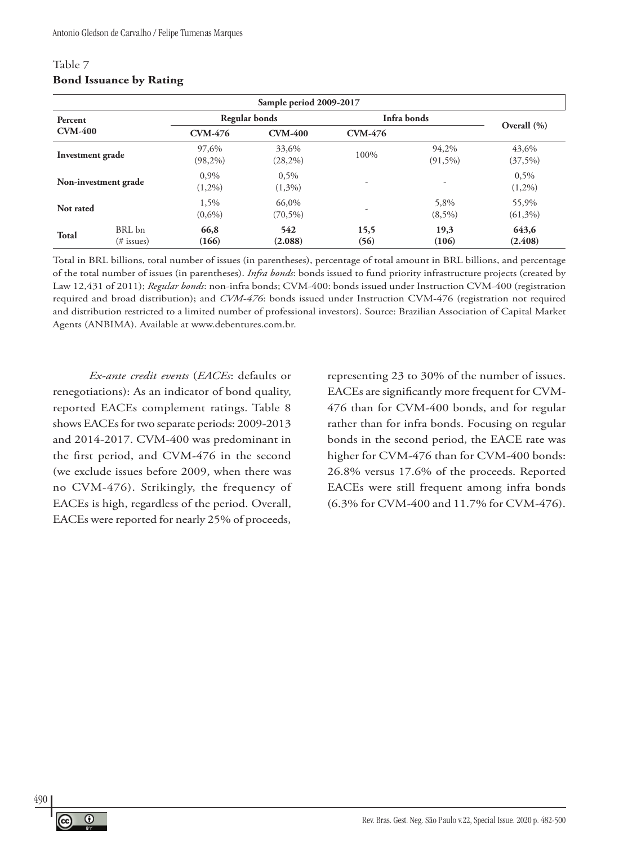| Sample period 2009-2017 |                         |                     |                      |                |                     |                     |  |  |  |  |
|-------------------------|-------------------------|---------------------|----------------------|----------------|---------------------|---------------------|--|--|--|--|
| Percent                 |                         |                     | Regular bonds        | Infra bonds    |                     |                     |  |  |  |  |
| <b>CVM-400</b>          |                         | <b>CVM-476</b>      | <b>CVM-400</b>       | <b>CVM-476</b> |                     | Overall $(\% )$     |  |  |  |  |
| Investment grade        |                         | 97,6%<br>$(98,2\%)$ | 33,6%<br>$(28, 2\%)$ | 100%           | 94,2%<br>$(91,5\%)$ | 43.6%<br>$(37,5\%)$ |  |  |  |  |
|                         | Non-investment grade    | 0.9%<br>$(1,2\%)$   | $0.5\%$<br>$(1,3\%)$ | ٠              |                     | 0,5%<br>$(1,2\%)$   |  |  |  |  |
| Not rated               |                         | 1,5%<br>$(0,6\%)$   | 66,0%<br>$(70, 5\%)$ | ۰              | 5,8%<br>$(8,5\%)$   | 55,9%<br>$(61,3\%)$ |  |  |  |  |
| <b>Total</b>            | BRL bn<br>$(\#$ issues) | 66,8<br>(166)       | 542<br>(2.088)       | 15,5<br>(56)   | 19,3<br>(106)       | 643,6<br>(2.408)    |  |  |  |  |

#### Table 7 **Bond Issuance by Rating**

Total in BRL billions, total number of issues (in parentheses), percentage of total amount in BRL billions, and percentage of the total number of issues (in parentheses). *Infra bonds*: bonds issued to fund priority infrastructure projects (created by Law 12,431 of 2011); *Regular bonds*: non-infra bonds; CVM-400: bonds issued under Instruction CVM-400 (registration required and broad distribution); and *CVM-476*: bonds issued under Instruction CVM-476 (registration not required and distribution restricted to a limited number of professional investors). Source: Brazilian Association of Capital Market Agents (ANBIMA). Available at www.debentures.com.br.

*Ex-ante credit events* (*EACEs*: defaults or renegotiations): As an indicator of bond quality, reported EACEs complement ratings. Table 8 shows EACEs for two separate periods: 2009-2013 and 2014-2017. CVM-400 was predominant in the first period, and CVM-476 in the second (we exclude issues before 2009, when there was no CVM-476). Strikingly, the frequency of EACEs is high, regardless of the period. Overall, EACEs were reported for nearly 25% of proceeds,

representing 23 to 30% of the number of issues. EACEs are significantly more frequent for CVM-476 than for CVM-400 bonds, and for regular rather than for infra bonds. Focusing on regular bonds in the second period, the EACE rate was higher for CVM-476 than for CVM-400 bonds: 26.8% versus 17.6% of the proceeds. Reported EACEs were still frequent among infra bonds (6.3% for CVM-400 and 11.7% for CVM-476).

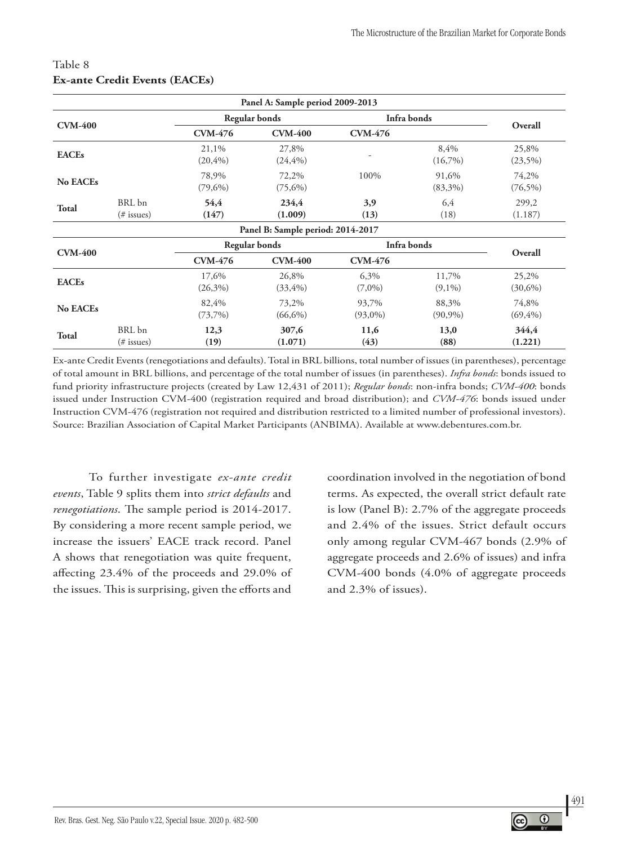|                 |                         |                      | Panel A: Sample period 2009-2013  |                     |                     |                      |
|-----------------|-------------------------|----------------------|-----------------------------------|---------------------|---------------------|----------------------|
|                 |                         |                      | <b>Regular bonds</b>              | Infra bonds         |                     |                      |
| <b>CVM-400</b>  |                         | <b>CVM-476</b>       | <b>CVM-400</b>                    | <b>CVM-476</b>      |                     | Overall              |
| <b>EACEs</b>    |                         | 21,1%<br>$(20, 4\%)$ | 27,8%<br>$(24, 4\%)$              |                     | 8,4%<br>$(16,7\%)$  | 25,8%<br>$(23,5\%)$  |
| <b>No EACEs</b> |                         | 78,9%<br>$(79,6\%)$  | 72,2%<br>$(75,6\%)$               | 100%                | 91,6%<br>$(83,3\%)$ | 74,2%<br>$(76,5\%)$  |
| <b>Total</b>    | BRL bn<br>$(\#$ issues) | 54,4<br>(147)        | 234,4<br>(1.009)                  | 3,9<br>(13)         | 6,4<br>(18)         | 299,2<br>(1.187)     |
|                 |                         |                      | Panel B: Sample period: 2014-2017 |                     |                     |                      |
|                 |                         | Regular bonds        |                                   | Infra bonds         |                     |                      |
| <b>CVM-400</b>  |                         | <b>CVM-476</b>       | <b>CVM-400</b>                    | <b>CVM-476</b>      |                     | Overall              |
| <b>EACEs</b>    |                         | 17,6%<br>$(26,3\%)$  | 26,8%<br>$(33, 4\%)$              | 6,3%<br>$(7,0\%)$   | 11,7%<br>$(9,1\%)$  | 25,2%<br>$(30,6\%)$  |
| <b>No EACEs</b> |                         | 82,4%<br>$(73,7\%)$  | 73,2%<br>$(66,6\%)$               | 93,7%<br>$(93,0\%)$ | 88,3%<br>$(90,9\%)$ | 74,8%<br>$(69, 4\%)$ |
| <b>Total</b>    | BRL bn<br>$(\#$ issues) | 12,3<br>(19)         | 307,6<br>(1.071)                  | 11,6<br>(43)        | 13,0<br>(88)        | 344,4<br>(1.221)     |

### Table 8 **Ex-ante Credit Events (EACEs)**

Ex-ante Credit Events (renegotiations and defaults). Total in BRL billions, total number of issues (in parentheses), percentage of total amount in BRL billions, and percentage of the total number of issues (in parentheses). *Infra bonds*: bonds issued to fund priority infrastructure projects (created by Law 12,431 of 2011); *Regular bonds*: non-infra bonds; *CVM-400*: bonds issued under Instruction CVM-400 (registration required and broad distribution); and *CVM-476*: bonds issued under Instruction CVM-476 (registration not required and distribution restricted to a limited number of professional investors). Source: Brazilian Association of Capital Market Participants (ANBIMA). Available at www.debentures.com.br.

To further investigate *ex-ante credit events*, Table 9 splits them into *strict defaults* and *renegotiations*. The sample period is 2014-2017. By considering a more recent sample period, we increase the issuers' EACE track record. Panel A shows that renegotiation was quite frequent, affecting 23.4% of the proceeds and 29.0% of the issues. This is surprising, given the efforts and

coordination involved in the negotiation of bond terms. As expected, the overall strict default rate is low (Panel B): 2.7% of the aggregate proceeds and 2.4% of the issues. Strict default occurs only among regular CVM-467 bonds (2.9% of aggregate proceeds and 2.6% of issues) and infra CVM-400 bonds (4.0% of aggregate proceeds and 2.3% of issues).

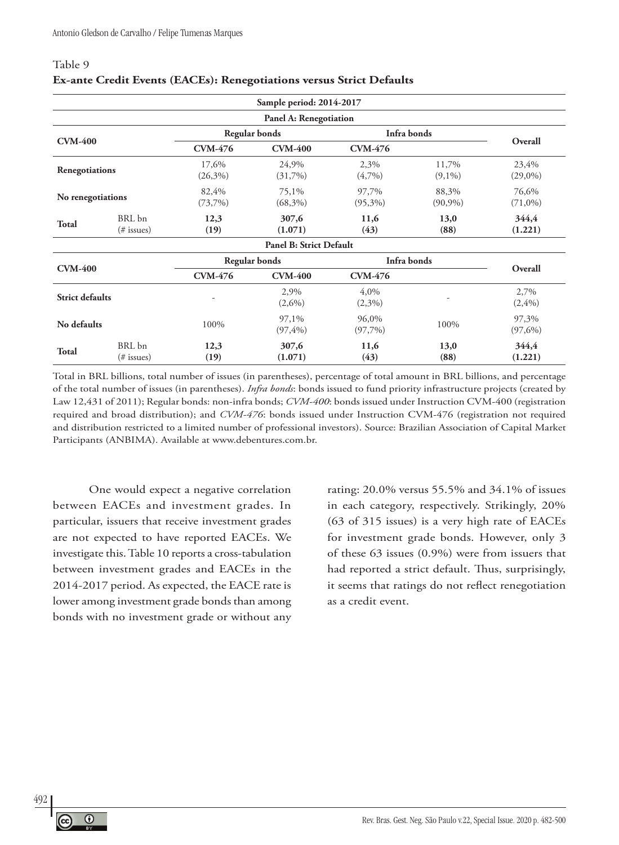#### Table 9

|                        |                      |                     | Sample period: 2014-2017       |                     |                     |                     |
|------------------------|----------------------|---------------------|--------------------------------|---------------------|---------------------|---------------------|
|                        |                      |                     | Panel A: Renegotiation         |                     |                     |                     |
|                        |                      |                     | <b>Regular bonds</b>           | Infra bonds         |                     |                     |
| <b>CVM-400</b>         |                      | <b>CVM-476</b>      | <b>CVM-400</b>                 | <b>CVM-476</b>      |                     | Overall             |
| Renegotiations         |                      | 17,6%<br>$(26,3\%)$ | 24,9%<br>(31,7%)               | 2,3%<br>(4,7%)      | 11,7%<br>$(9,1\%)$  | 23,4%<br>$(29,0\%)$ |
| No renegotiations      |                      | 82,4%<br>(73,7%)    | 75,1%<br>$(68,3\%)$            | 97,7%<br>$(95,3\%)$ | 88,3%<br>$(90,9\%)$ | 76,6%<br>$(71,0\%)$ |
| <b>Total</b>           | BRL bn<br>(# issues) | 12,3<br>(19)        | 307,6<br>(1.071)               | 11,6<br>(43)        | 13,0<br>(88)        | 344,4<br>(1.221)    |
|                        |                      |                     | <b>Panel B: Strict Default</b> |                     |                     |                     |
| <b>CVM-400</b>         |                      |                     | Infra bonds<br>Regular bonds   |                     | Overall             |                     |
|                        |                      | <b>CVM-476</b>      | <b>CVM-400</b>                 | <b>CVM-476</b>      |                     |                     |
| <b>Strict defaults</b> |                      |                     | 2,9%<br>$(2,6\%)$              | 4,0%<br>(2,3%)      |                     | 2,7%<br>(2,4%)      |
| No defaults            |                      | 100%                | 97,1%<br>$(97, 4\%)$           | 96,0%<br>(97,7%)    | 100%                | 97,3%<br>$(97,6\%)$ |
| <b>Total</b>           | BRL bn<br>(# issues) | 12,3<br>(19)        | 307,6<br>(1.071)               | 11,6<br>(43)        | 13,0<br>(88)        | 344,4<br>(1.221)    |

#### **Ex-ante Credit Events (EACEs): Renegotiations versus Strict Defaults**

Total in BRL billions, total number of issues (in parentheses), percentage of total amount in BRL billions, and percentage of the total number of issues (in parentheses). *Infra bonds*: bonds issued to fund priority infrastructure projects (created by Law 12,431 of 2011); Regular bonds: non-infra bonds; *CVM-400*: bonds issued under Instruction CVM-400 (registration required and broad distribution); and *CVM-476*: bonds issued under Instruction CVM-476 (registration not required and distribution restricted to a limited number of professional investors). Source: Brazilian Association of Capital Market Participants (ANBIMA). Available at www.debentures.com.br.

One would expect a negative correlation between EACEs and investment grades. In particular, issuers that receive investment grades are not expected to have reported EACEs. We investigate this. Table 10 reports a cross-tabulation between investment grades and EACEs in the 2014-2017 period. As expected, the EACE rate is lower among investment grade bonds than among bonds with no investment grade or without any

rating: 20.0% versus 55.5% and 34.1% of issues in each category, respectively. Strikingly, 20% (63 of 315 issues) is a very high rate of EACEs for investment grade bonds. However, only 3 of these 63 issues (0.9%) were from issuers that had reported a strict default. Thus, surprisingly, it seems that ratings do not reflect renegotiation as a credit event.

492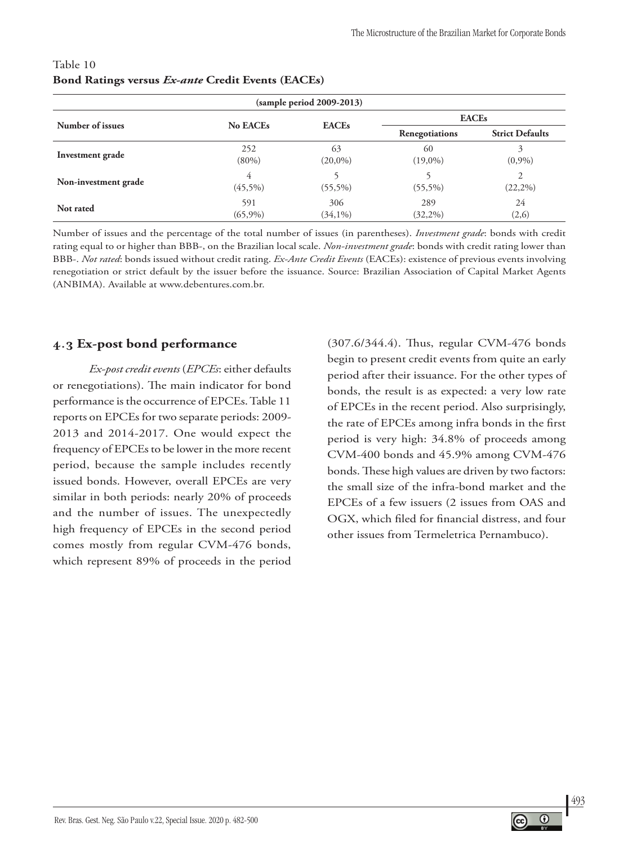| $(sample period 2009-2013)$ |                   |                   |                    |                        |  |  |  |  |
|-----------------------------|-------------------|-------------------|--------------------|------------------------|--|--|--|--|
| <b>EACEs</b>                |                   |                   |                    |                        |  |  |  |  |
| Number of issues            | <b>No EACEs</b>   | <b>EACEs</b>      | Renegotiations     | <b>Strict Defaults</b> |  |  |  |  |
| Investment grade            | 252<br>$(80\%)$   | 63<br>$(20,0\%)$  | 60<br>$(19,0\%)$   | 3<br>(0,9%)            |  |  |  |  |
| Non-investment grade        | 4<br>$(45,5\%)$   | $(55,5\%)$        | $(55,5\%)$         | 2<br>$(22,2\%)$        |  |  |  |  |
| Not rated                   | 591<br>$(65,9\%)$ | 306<br>$(34,1\%)$ | 289<br>$(32, 2\%)$ | 24<br>(2,6)            |  |  |  |  |

### Table 10 **Bond Ratings versus** *Ex-ante* **Credit Events (EACEs)**

Number of issues and the percentage of the total number of issues (in parentheses). *Investment grade*: bonds with credit rating equal to or higher than BBB-, on the Brazilian local scale. *Non-investment grade*: bonds with credit rating lower than BBB-. *Not rated*: bonds issued without credit rating. *Ex-Ante Credit Events* (EACEs): existence of previous events involving renegotiation or strict default by the issuer before the issuance. Source: Brazilian Association of Capital Market Agents (ANBIMA). Available at www.debentures.com.br.

### **4.3 Ex-post bond performance**

*Ex-post credit events* (*EPCEs*: either defaults or renegotiations). The main indicator for bond performance is the occurrence of EPCEs. Table 11 reports on EPCEs for two separate periods: 2009- 2013 and 2014-2017. One would expect the frequency of EPCEs to be lower in the more recent period, because the sample includes recently issued bonds. However, overall EPCEs are very similar in both periods: nearly 20% of proceeds and the number of issues. The unexpectedly high frequency of EPCEs in the second period comes mostly from regular CVM-476 bonds, which represent 89% of proceeds in the period

(307.6/344.4). Thus, regular CVM-476 bonds begin to present credit events from quite an early period after their issuance. For the other types of bonds, the result is as expected: a very low rate of EPCEs in the recent period. Also surprisingly, the rate of EPCEs among infra bonds in the first period is very high: 34.8% of proceeds among CVM-400 bonds and 45.9% among CVM-476 bonds. These high values are driven by two factors: the small size of the infra-bond market and the EPCEs of a few issuers (2 issues from OAS and OGX, which filed for financial distress, and four other issues from Termeletrica Pernambuco).

493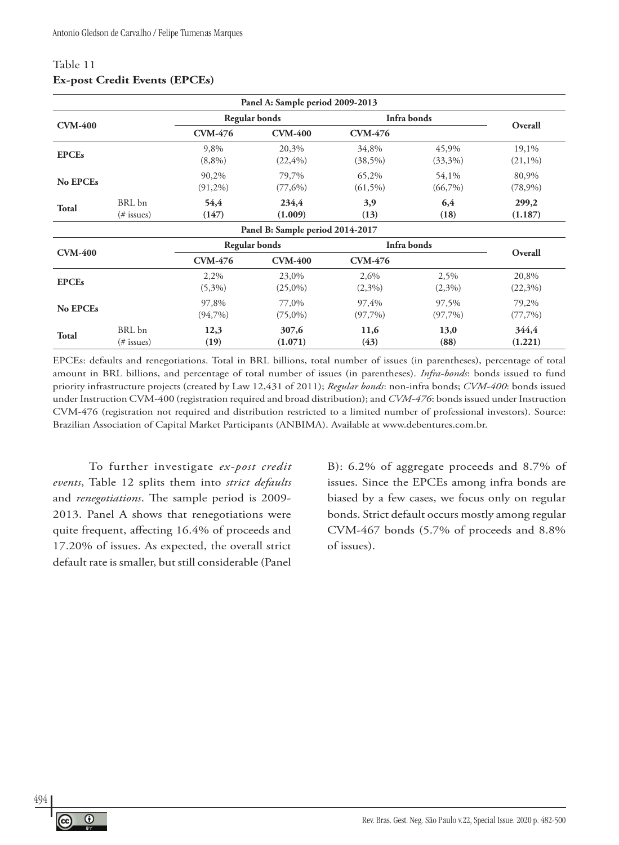|                 |                         |                      | Panel A: Sample period 2009-2013 |                     |                     |                     |
|-----------------|-------------------------|----------------------|----------------------------------|---------------------|---------------------|---------------------|
|                 |                         | <b>Regular bonds</b> |                                  | Infra bonds         |                     |                     |
| <b>CVM-400</b>  |                         | <b>CVM-476</b>       | <b>CVM-400</b>                   | <b>CVM-476</b>      |                     | Overall             |
| <b>EPCEs</b>    |                         | 9,8%<br>$(8,8\%)$    | 20,3%<br>$(22, 4\%)$             | 34,8%<br>$(38,5\%)$ | 45,9%<br>$(33,3\%)$ | 19,1%<br>$(21,1\%)$ |
| No EPCEs        |                         | 90,2%<br>$(91,2\%)$  | 79,7%<br>$(77,6\%)$              | 65,2%<br>$(61,5\%)$ | 54,1%<br>$(66,7\%)$ | 80,9%<br>$(78,9\%)$ |
| <b>Total</b>    | BRL bn<br>$(\#$ issues) | 54,4<br>(147)        | 234,4<br>(1.009)                 | 3,9<br>(13)         | 6,4<br>(18)         | 299,2<br>(1.187)    |
|                 |                         |                      | Panel B: Sample period 2014-2017 |                     |                     |                     |
|                 |                         | <b>Regular bonds</b> |                                  | Infra bonds         |                     |                     |
| <b>CVM-400</b>  |                         | <b>CVM-476</b>       | <b>CVM-400</b>                   | <b>CVM-476</b>      |                     | Overall             |
| <b>EPCEs</b>    |                         | 2,2%<br>$(5,3\%)$    | 23,0%<br>$(25,0\%)$              | 2,6%<br>$(2,3\%)$   | 2,5%<br>$(2,3\%)$   | 20,8%<br>$(22,3\%)$ |
| <b>No EPCEs</b> |                         | 97,8%<br>$(94,7\%)$  | 77,0%<br>$(75,0\%)$              | 97,4%<br>$(97,7\%)$ | 97,5%<br>(97,7%)    | 79,2%<br>(77,7%)    |
| <b>Total</b>    | BRL bn<br>$(\#$ issues) | 12,3<br>(19)         | 307,6<br>(1.071)                 | 11,6<br>(43)        | 13,0<br>(88)        | 344,4<br>(1.221)    |

#### Table 11 **Ex-post Credit Events (EPCEs)**

EPCEs: defaults and renegotiations. Total in BRL billions, total number of issues (in parentheses), percentage of total amount in BRL billions, and percentage of total number of issues (in parentheses). *Infra-bonds*: bonds issued to fund priority infrastructure projects (created by Law 12,431 of 2011); *Regular bonds*: non-infra bonds; *CVM-400*: bonds issued under Instruction CVM-400 (registration required and broad distribution); and *CVM-476*: bonds issued under Instruction CVM-476 (registration not required and distribution restricted to a limited number of professional investors). Source: Brazilian Association of Capital Market Participants (ANBIMA). Available at www.debentures.com.br.

To further investigate *ex-post credit events*, Table 12 splits them into *strict defaults* and *renegotiations*. The sample period is 2009- 2013. Panel A shows that renegotiations were quite frequent, affecting 16.4% of proceeds and 17.20% of issues. As expected, the overall strict default rate is smaller, but still considerable (Panel

B): 6.2% of aggregate proceeds and 8.7% of issues. Since the EPCEs among infra bonds are biased by a few cases, we focus only on regular bonds. Strict default occurs mostly among regular CVM-467 bonds (5.7% of proceeds and 8.8% of issues).

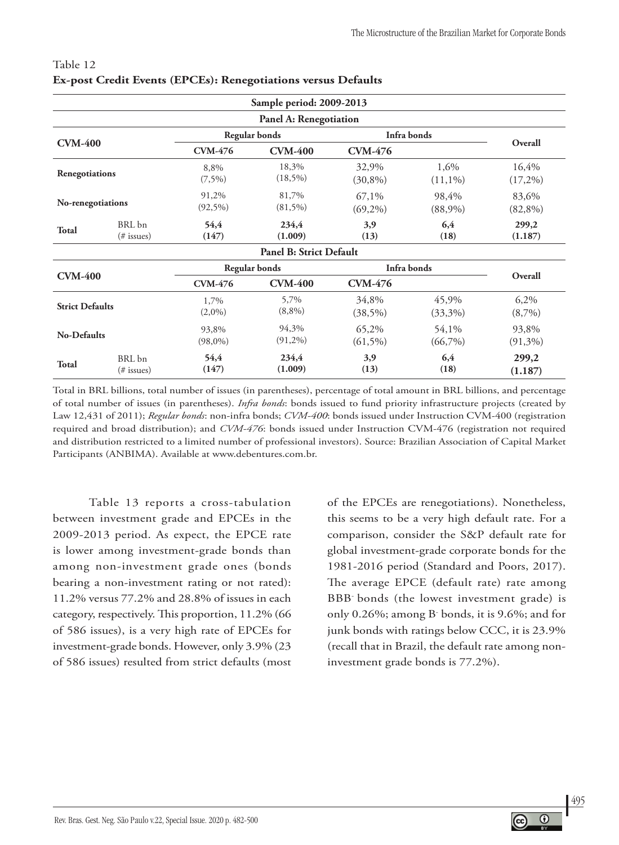| Sample period: 2009-2013 |                         |                      |                                  |                     |                     |                     |  |  |
|--------------------------|-------------------------|----------------------|----------------------------------|---------------------|---------------------|---------------------|--|--|
| Panel A: Renegotiation   |                         |                      |                                  |                     |                     |                     |  |  |
| <b>CVM-400</b>           |                         | <b>Regular bonds</b> |                                  | Infra bonds         |                     | Overall             |  |  |
|                          |                         | <b>CVM-476</b>       | <b>CVM-400</b><br><b>CVM-476</b> |                     |                     |                     |  |  |
| Renegotiations           |                         | 8,8%<br>$(7,5\%)$    | 18,3%<br>$(18,5\%)$              | 32,9%<br>$(30,8\%)$ | 1,6%<br>$(11,1\%)$  | 16,4%<br>$(17,2\%)$ |  |  |
| No-renegotiations        |                         | 91,2%<br>$(92,5\%)$  | 81,7%<br>$(81,5\%)$              | 67,1%<br>$(69,2\%)$ | 98,4%<br>$(88,9\%)$ | 83,6%<br>$(82,8\%)$ |  |  |
| <b>Total</b>             | BRL bn<br>$(\#$ issues) | 54,4<br>(147)        | 234,4<br>(1.009)                 | 3,9<br>(13)         | 6,4<br>(18)         | 299,2<br>(1.187)    |  |  |
|                          |                         |                      | Panel B: Strict Default          |                     |                     |                     |  |  |
|                          |                         | <b>Regular bonds</b> |                                  | Infra bonds         |                     |                     |  |  |
| <b>CVM-400</b>           |                         | <b>CVM-476</b>       | <b>CVM-400</b>                   | <b>CVM-476</b>      |                     | Overall             |  |  |
| <b>Strict Defaults</b>   |                         | 1,7%<br>$(2,0\%)$    | 5,7%<br>$(8,8\%)$                | 34,8%<br>(38,5%)    | 45,9%<br>$(33,3\%)$ | 6,2%<br>$(8,7\%)$   |  |  |
| <b>No-Defaults</b>       |                         | 93,8%<br>$(98,0\%)$  | 94,3%<br>$(91,2\%)$              | 65,2%<br>$(61,5\%)$ | 54,1%<br>$(66,7\%)$ | 93,8%<br>$(91,3\%)$ |  |  |
| <b>Total</b>             | BRL bn<br>$(\#$ issues) | 54,4<br>(147)        | 234,4<br>(1.009)                 | 3,9<br>(13)         | 6,4<br>(18)         | 299,2<br>(1.187)    |  |  |

### Table 12 **Ex-post Credit Events (EPCEs): Renegotiations versus Defaults**

Total in BRL billions, total number of issues (in parentheses), percentage of total amount in BRL billions, and percentage of total number of issues (in parentheses). *Infra bonds*: bonds issued to fund priority infrastructure projects (created by Law 12,431 of 2011); *Regular bonds*: non-infra bonds; *CVM-400*: bonds issued under Instruction CVM-400 (registration required and broad distribution); and *CVM-476*: bonds issued under Instruction CVM-476 (registration not required and distribution restricted to a limited number of professional investors). Source: Brazilian Association of Capital Market Participants (ANBIMA). Available at www.debentures.com.br.

Table 13 reports a cross-tabulation between investment grade and EPCEs in the 2009-2013 period. As expect, the EPCE rate is lower among investment-grade bonds than among non-investment grade ones (bonds bearing a non-investment rating or not rated): 11.2% versus 77.2% and 28.8% of issues in each category, respectively. This proportion, 11.2% (66 of 586 issues), is a very high rate of EPCEs for investment-grade bonds. However, only 3.9% (23 of 586 issues) resulted from strict defaults (most

of the EPCEs are renegotiations). Nonetheless, this seems to be a very high default rate. For a comparison, consider the S&P default rate for global investment-grade corporate bonds for the 1981-2016 period (Standard and Poors, 2017). The average EPCE (default rate) rate among BBB- bonds (the lowest investment grade) is only 0.26%; among B- bonds, it is 9.6%; and for junk bonds with ratings below CCC, it is 23.9% (recall that in Brazil, the default rate among noninvestment grade bonds is 77.2%).

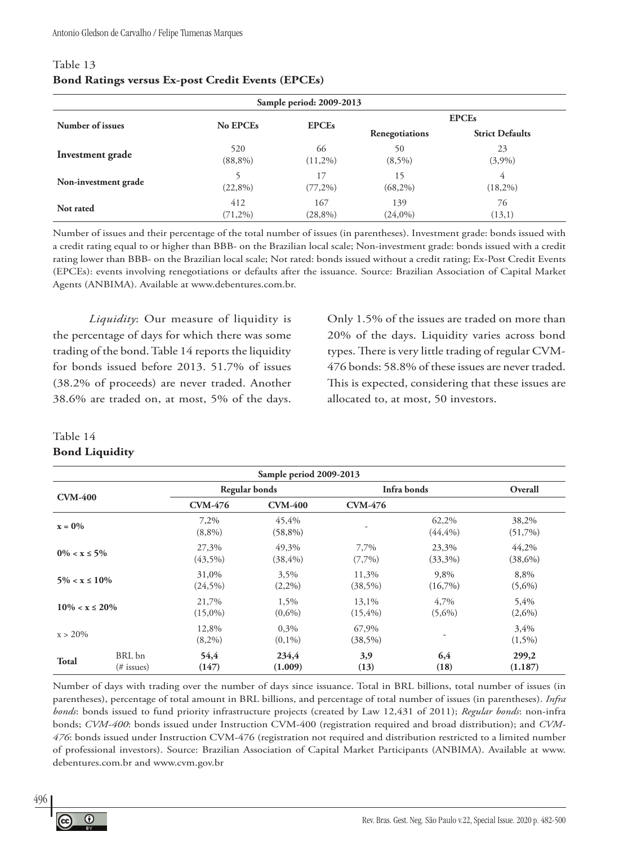| Sample period: 2009-2013 |                   |                   |                   |                        |  |  |
|--------------------------|-------------------|-------------------|-------------------|------------------------|--|--|
|                          |                   | <b>EPCEs</b>      | <b>EPCEs</b>      |                        |  |  |
| Number of issues         | No EPCEs          |                   | Renegotiations    | <b>Strict Defaults</b> |  |  |
| Investment grade         | 520<br>$(88,8\%)$ | 66<br>$(11,2\%)$  | 50<br>$(8,5\%)$   | 23<br>(3,9%)           |  |  |
| Non-investment grade     | $(22,8\%)$        | 17<br>$(77,2\%)$  | 15<br>$(68,2\%)$  | 4<br>$(18,2\%)$        |  |  |
| Not rated                | 412<br>$(71,2\%)$ | 167<br>$(28,8\%)$ | 139<br>$(24,0\%)$ | 76<br>(13,1)           |  |  |

#### Table 13 **Bond Ratings versus Ex-post Credit Events (EPCEs)**

Number of issues and their percentage of the total number of issues (in parentheses). Investment grade: bonds issued with a credit rating equal to or higher than BBB- on the Brazilian local scale; Non-investment grade: bonds issued with a credit rating lower than BBB- on the Brazilian local scale; Not rated: bonds issued without a credit rating; Ex-Post Credit Events (EPCEs): events involving renegotiations or defaults after the issuance. Source: Brazilian Association of Capital Market Agents (ANBIMA). Available at www.debentures.com.br.

*Liquidity*: Our measure of liquidity is the percentage of days for which there was some trading of the bond. Table 14 reports the liquidity for bonds issued before 2013. 51.7% of issues (38.2% of proceeds) are never traded. Another 38.6% are traded on, at most, 5% of the days.

Only 1.5% of the issues are traded on more than 20% of the days. Liquidity varies across bond types. There is very little trading of regular CVM-476 bonds: 58.8% of these issues are never traded. This is expected, considering that these issues are allocated to, at most, 50 investors.

### Table 14

### **Bond Liquidity**

| Sample period 2009-2013 |                      |                      |                      |                      |                      |                     |
|-------------------------|----------------------|----------------------|----------------------|----------------------|----------------------|---------------------|
|                         |                      | <b>Regular bonds</b> |                      | Infra bonds          |                      | Overall             |
| <b>CVM-400</b>          |                      | <b>CVM-476</b>       | <b>CVM-400</b>       | <b>CVM-476</b>       |                      |                     |
| $x = 0\%$               |                      | 7,2%<br>$(8,8\%)$    | 45,4%<br>$(58,8\%)$  |                      | 62,2%<br>$(44, 4\%)$ | 38,2%<br>$(51,7\%)$ |
| $0\% < x \leq 5\%$      |                      | 27,3%<br>$(43,5\%)$  | 49,3%<br>$(38, 4\%)$ | 7,7%<br>$(7,7\%)$    | 23,3%<br>$(33,3\%)$  | 44,2%<br>$(38,6\%)$ |
| $5\% < x \leq 10\%$     |                      | 31,0%<br>$(24,5\%)$  | 3,5%<br>$(2,2\%)$    | 11,3%<br>$(38,5\%)$  | 9,8%<br>$(16,7\%)$   | 8,8%<br>$(5,6\%)$   |
| $10\% < x \leq 20\%$    |                      | 21,7%<br>$(15,0\%)$  | 1,5%<br>$(0,6\%)$    | 13,1%<br>$(15, 4\%)$ | 4,7%<br>$(5,6\%)$    | 5,4%<br>$(2,6\%)$   |
| $x > 20\%$              |                      | 12,8%<br>$(8,2\%)$   | 0,3%<br>$(0,1\%)$    | 67,9%<br>$(38,5\%)$  |                      | 3,4%<br>$(1,5\%)$   |
| <b>Total</b>            | BRL bn<br>(# issues) | 54,4<br>(147)        | 234,4<br>(1.009)     | 3,9<br>(13)          | 6,4<br>(18)          | 299,2<br>(1.187)    |

Number of days with trading over the number of days since issuance. Total in BRL billions, total number of issues (in parentheses), percentage of total amount in BRL billions, and percentage of total number of issues (in parentheses). *Infra bonds*: bonds issued to fund priority infrastructure projects (created by Law 12,431 of 2011); *Regular bonds*: non-infra bonds; *CVM-400*: bonds issued under Instruction CVM-400 (registration required and broad distribution); and *CVM-476*: bonds issued under Instruction CVM-476 (registration not required and distribution restricted to a limited number of professional investors). Source: Brazilian Association of Capital Market Participants (ANBIMA). Available at www. debentures.com.br and www.cvm.gov.br



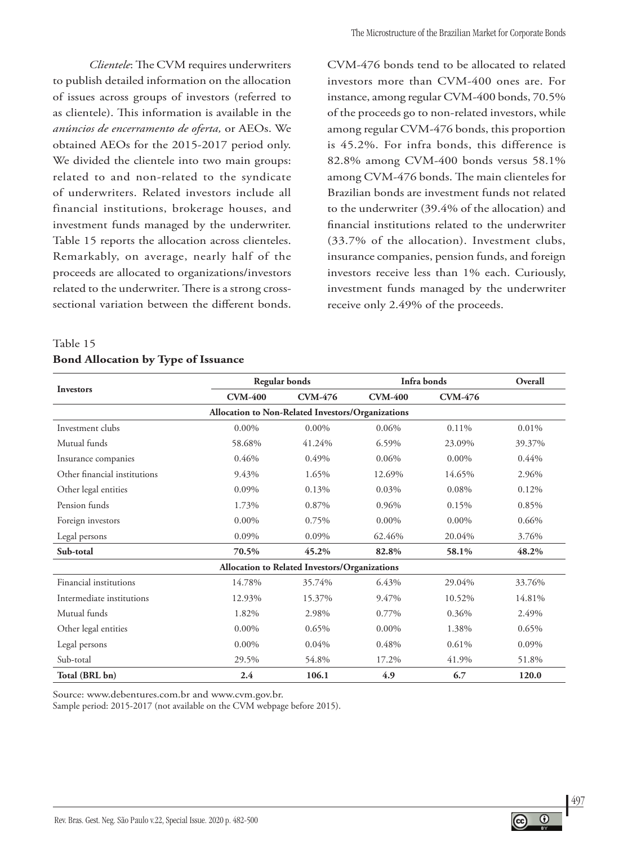*Clientele*: The CVM requires underwriters to publish detailed information on the allocation of issues across groups of investors (referred to as clientele). This information is available in the *anúncios de encerramento de oferta,* or AEOs. We obtained AEOs for the 2015-2017 period only. We divided the clientele into two main groups: related to and non-related to the syndicate of underwriters. Related investors include all financial institutions, brokerage houses, and investment funds managed by the underwriter. Table 15 reports the allocation across clienteles. Remarkably, on average, nearly half of the proceeds are allocated to organizations/investors related to the underwriter. There is a strong crosssectional variation between the different bonds.

### Table 15 **Bond Allocation by Type of Issuance**

CVM-476 bonds tend to be allocated to related investors more than CVM-400 ones are. For instance, among regular CVM-400 bonds, 70.5% of the proceeds go to non-related investors, while among regular CVM-476 bonds, this proportion is 45.2%. For infra bonds, this difference is 82.8% among CVM-400 bonds versus 58.1% among CVM-476 bonds. The main clienteles for Brazilian bonds are investment funds not related to the underwriter (39.4% of the allocation) and financial institutions related to the underwriter (33.7% of the allocation). Investment clubs, insurance companies, pension funds, and foreign investors receive less than 1% each. Curiously, investment funds managed by the underwriter receive only 2.49% of the proceeds.

|                                                   | <b>Regular bonds</b> |                                               | Infra bonds    |                | Overall |  |  |
|---------------------------------------------------|----------------------|-----------------------------------------------|----------------|----------------|---------|--|--|
| Investors                                         | <b>CVM-400</b>       | <b>CVM-476</b>                                | <b>CVM-400</b> | <b>CVM-476</b> |         |  |  |
| Allocation to Non-Related Investors/Organizations |                      |                                               |                |                |         |  |  |
| Investment clubs                                  | $0.00\%$             | $0.00\%$                                      | 0.06%          | $0.11\%$       | 0.01%   |  |  |
| Mutual funds                                      | 58.68%               | 41.24%                                        | 6.59%          | 23.09%         | 39.37%  |  |  |
| Insurance companies                               | 0.46%                | 0.49%                                         | 0.06%          | $0.00\%$       | 0.44%   |  |  |
| Other financial institutions                      | 9.43%                | 1.65%                                         | 12.69%         | 14.65%         | 2.96%   |  |  |
| Other legal entities                              | 0.09%                | 0.13%                                         | 0.03%          | 0.08%          | 0.12%   |  |  |
| Pension funds                                     | 1.73%                | 0.87%                                         | 0.96%          | 0.15%          | 0.85%   |  |  |
| Foreign investors                                 | $0.00\%$             | 0.75%                                         | $0.00\%$       | $0.00\%$       | 0.66%   |  |  |
| Legal persons                                     | 0.09%                | 0.09%                                         | 62.46%         | 20.04%         | 3.76%   |  |  |
| Sub-total                                         | 70.5%                | 45.2%                                         | 82.8%          | 58.1%          | 48.2%   |  |  |
|                                                   |                      | Allocation to Related Investors/Organizations |                |                |         |  |  |
| Financial institutions                            | 14.78%               | 35.74%                                        | 6.43%          | 29.04%         | 33.76%  |  |  |
| Intermediate institutions                         | 12.93%               | 15.37%                                        | 9.47%          | 10.52%         | 14.81%  |  |  |
| Mutual funds                                      | 1.82%                | 2.98%                                         | 0.77%          | 0.36%          | 2.49%   |  |  |
| Other legal entities                              | $0.00\%$             | 0.65%                                         | $0.00\%$       | 1.38%          | 0.65%   |  |  |
| Legal persons                                     | $0.00\%$             | 0.04%                                         | 0.48%          | 0.61%          | 0.09%   |  |  |
| Sub-total                                         | 29.5%                | 54.8%                                         | 17.2%          | 41.9%          | 51.8%   |  |  |
| Total (BRL bn)                                    | 2.4                  | 106.1                                         | 4.9            | 6.7            | 120.0   |  |  |

Source: www.debentures.com.br and www.cvm.gov.br.

Sample period: 2015-2017 (not available on the CVM webpage before 2015).

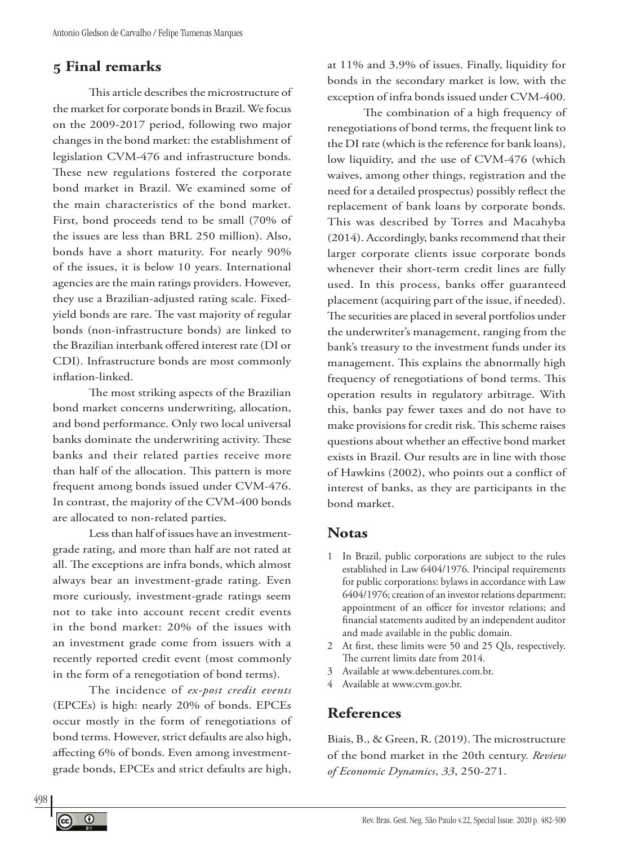## **5 Final remarks**

This article describes the microstructure of the market for corporate bonds in Brazil. We focus on the 2009-2017 period, following two major changes in the bond market: the establishment of legislation CVM-476 and infrastructure bonds. These new regulations fostered the corporate bond market in Brazil. We examined some of the main characteristics of the bond market. First, bond proceeds tend to be small (70% of the issues are less than BRL 250 million). Also, bonds have a short maturity. For nearly 90% of the issues, it is below 10 years. International agencies are the main ratings providers. However, they use a Brazilian-adjusted rating scale. Fixedyield bonds are rare. The vast majority of regular bonds (non-infrastructure bonds) are linked to the Brazilian interbank offered interest rate (DI or CDI). Infrastructure bonds are most commonly inflation-linked.

The most striking aspects of the Brazilian bond market concerns underwriting, allocation, and bond performance. Only two local universal banks dominate the underwriting activity. These banks and their related parties receive more than half of the allocation. This pattern is more frequent among bonds issued under CVM-476. In contrast, the majority of the CVM-400 bonds are allocated to non-related parties.

Less than half of issues have an investmentgrade rating, and more than half are not rated at all. The exceptions are infra bonds, which almost always bear an investment-grade rating. Even more curiously, investment-grade ratings seem not to take into account recent credit events in the bond market: 20% of the issues with an investment grade come from issuers with a recently reported credit event (most commonly in the form of a renegotiation of bond terms).

The incidence of *ex-post credit events* (EPCEs) is high: nearly 20% of bonds. EPCEs occur mostly in the form of renegotiations of bond terms. However, strict defaults are also high, affecting 6% of bonds. Even among investmentgrade bonds, EPCEs and strict defaults are high,

at 11% and 3.9% of issues. Finally, liquidity for bonds in the secondary market is low, with the exception of infra bonds issued under CVM-400.

The combination of a high frequency of renegotiations of bond terms, the frequent link to the DI rate (which is the reference for bank loans), low liquidity, and the use of CVM-476 (which waives, among other things, registration and the need for a detailed prospectus) possibly reflect the replacement of bank loans by corporate bonds. This was described by Torres and Macahyba (2014). Accordingly, banks recommend that their larger corporate clients issue corporate bonds whenever their short-term credit lines are fully used. In this process, banks offer guaranteed placement (acquiring part of the issue, if needed). The securities are placed in several portfolios under the underwriter's management, ranging from the bank's treasury to the investment funds under its management. This explains the abnormally high frequency of renegotiations of bond terms. This operation results in regulatory arbitrage. With this, banks pay fewer taxes and do not have to make provisions for credit risk. This scheme raises questions about whether an effective bond market exists in Brazil. Our results are in line with those of Hawkins (2002), who points out a conflict of interest of banks, as they are participants in the bond market.

### **Notas**

- 1 In Brazil, public corporations are subject to the rules established in Law 6404/1976. Principal requirements for public corporations: bylaws in accordance with Law 6404/1976; creation of an investor relations department; appointment of an officer for investor relations; and financial statements audited by an independent auditor and made available in the public domain.
- 2 At first, these limits were 50 and 25 QIs, respectively. The current limits date from 2014.
- 3 Available at www.debentures.com.br.
- 4 Available at www.cvm.gov.br.

# **References**

Biais, B., & Green, R. (2019). The microstructure of the bond market in the 20th century. *Review of Economic Dynamics*, *33*, 250-271.

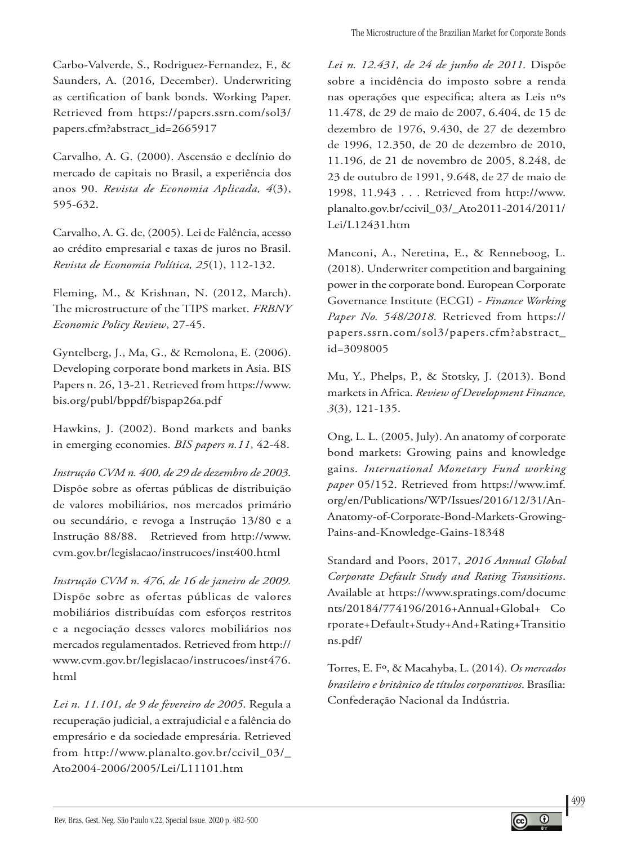Carbo-Valverde, S., Rodriguez-Fernandez, F., & Saunders, A. (2016, December). Underwriting as certification of bank bonds. Working Paper. Retrieved from https://papers.ssrn.com/sol3/ papers.cfm?abstract\_id=2665917

Carvalho, A. G. (2000). Ascensão e declínio do mercado de capitais no Brasil, a experiência dos anos 90. *Revista de Economia Aplicada, 4*(3), 595-632.

Carvalho, A. G. de, (2005). Lei de Falência, acesso ao crédito empresarial e taxas de juros no Brasil. *Revista de Economia Política, 25*(1), 112-132.

Fleming, M., & Krishnan, N. (2012, March). The microstructure of the TIPS market. *FRBNY Economic Policy Review*, 27-45.

Gyntelberg, J., Ma, G., & Remolona, E. (2006). Developing corporate bond markets in Asia. BIS Papers n. 26, 13-21. Retrieved from https://www. bis.org/publ/bppdf/bispap26a.pdf

Hawkins, J. (2002). Bond markets and banks in emerging economies. *BIS papers n.11*, 42-48.

*Instrução CVM n. 400, de 29 de dezembro de 2003*. Dispõe sobre as ofertas públicas de distribuição de valores mobiliários, nos mercados primário ou secundário, e revoga a Instrução 13/80 e a Instrução 88/88. Retrieved from http://www. cvm.gov.br/legislacao/instrucoes/inst400.html

*Instrução CVM n. 476, de 16 de janeiro de 2009.* Dispõe sobre as ofertas públicas de valores mobiliários distribuídas com esforços restritos e a negociação desses valores mobiliários nos mercados regulamentados. Retrieved from http:// www.cvm.gov.br/legislacao/instrucoes/inst476. html

*Lei n. 11.101, de 9 de fevereiro de 2005*. Regula a recuperação judicial, a extrajudicial e a falência do empresário e da sociedade empresária. Retrieved from http://www.planalto.gov.br/ccivil\_03/\_ Ato2004-2006/2005/Lei/L11101.htm

*Lei n. 12.431, de 24 de junho de 2011.* Dispõe sobre a incidência do imposto sobre a renda nas operações que especifica; altera as Leis nºs 11.478, de 29 de maio de 2007, 6.404, de 15 de dezembro de 1976, 9.430, de 27 de dezembro de 1996, 12.350, de 20 de dezembro de 2010, 11.196, de 21 de novembro de 2005, 8.248, de 23 de outubro de 1991, 9.648, de 27 de maio de 1998, 11.943 . . . Retrieved from http://www. planalto.gov.br/ccivil\_03/\_Ato2011-2014/2011/ Lei/L12431.htm

Manconi, A., Neretina, E., & Renneboog, L. (2018). Underwriter competition and bargaining power in the corporate bond. European Corporate Governance Institute (ECGI) *- Finance Working Paper No. 548/2018.* Retrieved from https:// papers.ssrn.com/sol3/papers.cfm?abstract\_ id=3098005

Mu, Y., Phelps, P., & Stotsky, J. (2013). Bond markets in Africa. *Review of Development Finance, 3*(3), 121-135.

Ong, L. L. (2005, July). An anatomy of corporate bond markets: Growing pains and knowledge gains. *International Monetary Fund working paper* 05/152. Retrieved from https://www.imf. org/en/Publications/WP/Issues/2016/12/31/An-Anatomy-of-Corporate-Bond-Markets-Growing-Pains-and-Knowledge-Gains-18348

Standard and Poors, 2017, *2016 Annual Global Corporate Default Study and Rating Transitions*. Available at https://www.spratings.com/docume nts/20184/774196/2016+Annual+Global+ Co rporate+Default+Study+And+Rating+Transitio ns.pdf/

Torres, E. Fº, & Macahyba, L. (2014)*. Os mercados brasileiro e britânico de títulos corporativos*. Brasília: Confederação Nacional da Indústria.